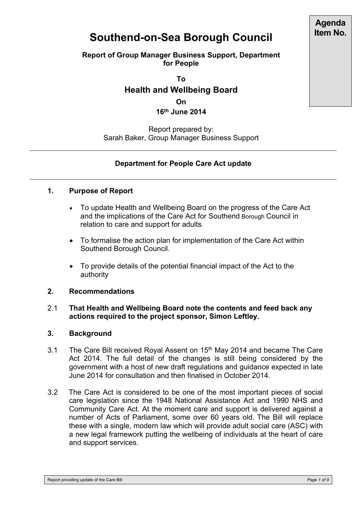# **Southend-on-Sea Borough Council**

### **Report of Group Manager Business Support, Department for People**

**To**

# **Health and Wellbeing Board**

**On 16th June 2014**

Report prepared by: Sarah Baker, Group Manager Business Support

# **Department for People Care Act update**

#### **1. Purpose of Report**

- To update Health and Wellbeing Board on the progress of the Care Act and the implications of the Care Act for Southend Borough Council in relation to care and support for adults.
- To formalise the action plan for implementation of the Care Act within Southend Borough Council.
- To provide details of the potential financial impact of the Act to the authority

#### **2. Recommendations**

#### 2.1 **That Health and Wellbeing Board note the contents and feed back any actions required to the project sponsor, Simon Leftley.**

#### **3. Background**

- 3.1 The Care Bill received Royal Assent on 15<sup>th</sup> May 2014 and became The Care Act 2014. The full detail of the changes is still being considered by the government with a host of new draft regulations and guidance expected in late June 2014 for consultation and then finalised in October 2014.
- 3.2 The Care Act is considered to be one of the most important pieces of social care legislation since the 1948 National Assistance Act and 1990 NHS and Community Care Act. At the moment care and support is delivered against a number of Acts of Parliament, some over 60 years old. The Bill will replace these with a single, modern law which will provide adult social care (ASC) with a new legal framework putting the wellbeing of individuals at the heart of care and support services.

**Agenda Item No.**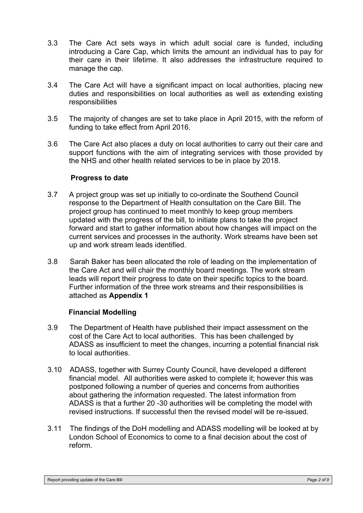- 3.3 The Care Act sets ways in which adult social care is funded, including introducing a Care Cap, which limits the amount an individual has to pay for their care in their lifetime. It also addresses the infrastructure required to manage the cap.
- 3.4 The Care Act will have a significant impact on local authorities, placing new duties and responsibilities on local authorities as well as extending existing responsibilities
- 3.5 The majority of changes are set to take place in April 2015, with the reform of funding to take effect from April 2016.
- 3.6 The Care Act also places a duty on local authorities to carry out their care and support functions with the aim of integrating services with those provided by the NHS and other health related services to be in place by 2018.

#### **Progress to date**

- 3.7 A project group was set up initially to co-ordinate the Southend Council response to the Department of Health consultation on the Care Bill. The project group has continued to meet monthly to keep group members updated with the progress of the bill, to initiate plans to take the project forward and start to gather information about how changes will impact on the current services and processes in the authority. Work streams have been set up and work stream leads identified.
- 3.8 Sarah Baker has been allocated the role of leading on the implementation of the Care Act and will chair the monthly board meetings. The work stream leads will report their progress to date on their specific topics to the board. Further information of the three work streams and their responsibilities is attached as **Appendix 1**

#### **Financial Modelling**

- 3.9 The Department of Health have published their impact assessment on the cost of the Care Act to local authorities. This has been challenged by ADASS as insufficient to meet the changes, incurring a potential financial risk to local authorities.
- 3.10 ADASS, together with Surrey County Council, have developed a different financial model. All authorities were asked to complete it; however this was postponed following a number of queries and concerns from authorities about gathering the information requested. The latest information from ADASS is that a further 20 -30 authorities will be completing the model with revised instructions. If successful then the revised model will be re-issued.
- 3.11 The findings of the DoH modelling and ADASS modelling will be looked at by London School of Economics to come to a final decision about the cost of reform.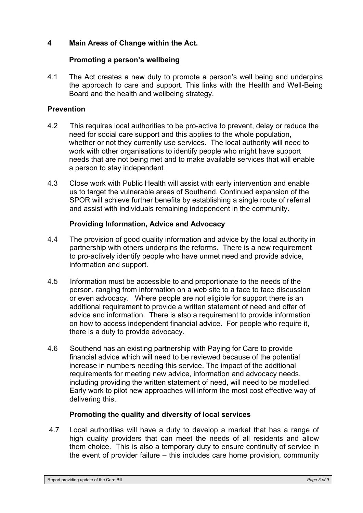# **4 Main Areas of Change within the Act.**

## **Promoting a person's wellbeing**

4.1The Act creates a new duty to promote a person's well being and underpins the approach to care and support. This links with the Health and Well-Being Board and the health and wellbeing strategy.

## **Prevention**

- 4.2 This requires local authorities to be pro-active to prevent, delay or reduce the need for social care support and this applies to the whole population, whether or not they currently use services. The local authority will need to work with other organisations to identify people who might have support needs that are not being met and to make available services that will enable a person to stay independent.
- 4.3 Close work with Public Health will assist with early intervention and enable us to target the vulnerable areas of Southend. Continued expansion of the SPOR will achieve further benefits by establishing a single route of referral and assist with individuals remaining independent in the community.

#### **Providing Information, Advice and Advocacy**

- 4.4 The provision of good quality information and advice by the local authority in partnership with others underpins the reforms. There is a new requirement to pro-actively identify people who have unmet need and provide advice, information and support.
- 4.5 Information must be accessible to and proportionate to the needs of the person, ranging from information on a web site to a face to face discussion or even advocacy. Where people are not eligible for support there is an additional requirement to provide a written statement of need and offer of advice and information. There is also a requirement to provide information on how to access independent financial advice. For people who require it, there is a duty to provide advocacy.
- 4.6 Southend has an existing partnership with Paying for Care to provide financial advice which will need to be reviewed because of the potential increase in numbers needing this service. The impact of the additional requirements for meeting new advice, information and advocacy needs, including providing the written statement of need, will need to be modelled. Early work to pilot new approaches will inform the most cost effective way of delivering this.

# **Promoting the quality and diversity of local services**

4.7 Local authorities will have a duty to develop a market that has a range of high quality providers that can meet the needs of all residents and allow them choice. This is also a temporary duty to ensure continuity of service in the event of provider failure – this includes care home provision, community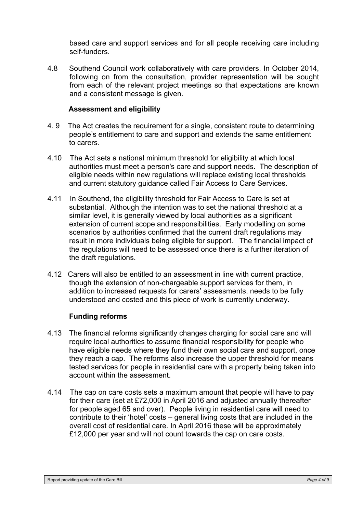based care and support services and for all people receiving care including self-funders.

4.8 Southend Council work collaboratively with care providers. In October 2014, following on from the consultation, provider representation will be sought from each of the relevant project meetings so that expectations are known and a consistent message is given.

#### **Assessment and eligibility**

- 4. 9 The Act creates the requirement for a single, consistent route to determining people's entitlement to care and support and extends the same entitlement to carers.
- 4.10 The Act sets a national minimum threshold for eligibility at which local authorities must meet a person's care and support needs. The description of eligible needs within new regulations will replace existing local thresholds and current statutory guidance called Fair Access to Care Services.
- 4.11 In Southend, the eligibility threshold for Fair Access to Care is set at substantial. Although the intention was to set the national threshold at a similar level, it is generally viewed by local authorities as a significant extension of current scope and responsibilities. Early modelling on some scenarios by authorities confirmed that the current draft regulations may result in more individuals being eligible for support. The financial impact of the regulations will need to be assessed once there is a further iteration of the draft regulations.
- 4.12 Carers will also be entitled to an assessment in line with current practice, though the extension of non-chargeable support services for them, in addition to increased requests for carers' assessments, needs to be fully understood and costed and this piece of work is currently underway.

#### **Funding reforms**

- 4.13 The financial reforms significantly changes charging for social care and will require local authorities to assume financial responsibility for people who have eligible needs where they fund their own social care and support, once they reach a cap. The reforms also increase the upper threshold for means tested services for people in residential care with a property being taken into account within the assessment.
- 4.14 The cap on care costs sets a maximum amount that people will have to pay for their care (set at £72,000 in April 2016 and adjusted annually thereafter for people aged 65 and over). People living in residential care will need to contribute to their 'hotel' costs – general living costs that are included in the overall cost of residential care. In April 2016 these will be approximately £12,000 per year and will not count towards the cap on care costs.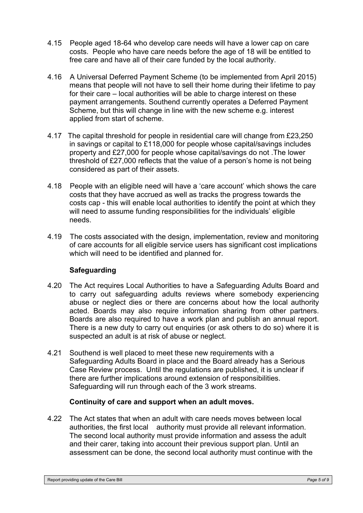- 4.15 People aged 18-64 who develop care needs will have a lower cap on care costs. People who have care needs before the age of 18 will be entitled to free care and have all of their care funded by the local authority.
- 4.16 A Universal Deferred Payment Scheme (to be implemented from April 2015) means that people will not have to sell their home during their lifetime to pay for their care – local authorities will be able to charge interest on these payment arrangements. Southend currently operates a Deferred Payment Scheme, but this will change in line with the new scheme e.g. interest applied from start of scheme.
- 4.17 The capital threshold for people in residential care will change from £23,250 in savings or capital to £118,000 for people whose capital/savings includes property and £27,000 for people whose capital/savings do not .The lower threshold of £27,000 reflects that the value of a person's home is not being considered as part of their assets.
- 4.18 People with an eligible need will have a 'care account' which shows the care costs that they have accrued as well as tracks the progress towards the costs cap - this will enable local authorities to identify the point at which they will need to assume funding responsibilities for the individuals' eligible needs.
- 4.19 The costs associated with the design, implementation, review and monitoring of care accounts for all eligible service users has significant cost implications which will need to be identified and planned for.

# **Safeguarding**

- 4.20 The Act requires Local Authorities to have a Safeguarding Adults Board and to carry out safeguarding adults reviews where somebody experiencing abuse or neglect dies or there are concerns about how the local authority acted. Boards may also require information sharing from other partners. Boards are also required to have a work plan and publish an annual report. There is a new duty to carry out enquiries (or ask others to do so) where it is suspected an adult is at risk of abuse or neglect.
- 4.21 Southend is well placed to meet these new requirements with a Safeguarding Adults Board in place and the Board already has a Serious Case Review process. Until the regulations are published, it is unclear if there are further implications around extension of responsibilities. Safeguarding will run through each of the 3 work streams.

#### **Continuity of care and support when an adult moves.**

4.22The Act states that when an adult with care needs moves between local authorities, the first local authority must provide all relevant information. The second local authority must provide information and assess the adult and their carer, taking into account their previous support plan. Until an assessment can be done, the second local authority must continue with the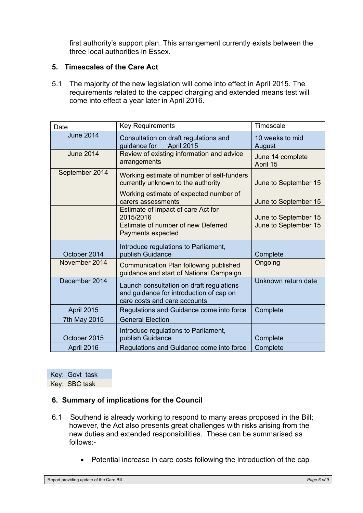first authority's support plan. This arrangement currently exists between the three local authorities in Essex.

#### **5. Timescales of the Care Act**

5.1 The majority of the new legislation will come into effect in April 2015. The requirements related to the capped charging and extended means test will come into effect a year later in April 2016.

| Date             | <b>Key Requirements</b>                                                                                             | Timescale                    |
|------------------|---------------------------------------------------------------------------------------------------------------------|------------------------------|
| <b>June 2014</b> | Consultation on draft regulations and<br>April 2015<br>guidance for                                                 | 10 weeks to mid<br>August    |
| <b>June 2014</b> | Review of existing information and advice<br>arrangements                                                           | June 14 complete<br>April 15 |
| September 2014   | Working estimate of number of self-funders<br>currently unknown to the authority                                    | June to September 15         |
|                  | Working estimate of expected number of<br>carers assessments                                                        | June to September 15         |
|                  | Estimate of impact of care Act for<br>2015/2016                                                                     | June to September 15         |
|                  | Estimate of number of new Deferred<br>Payments expected                                                             | June to September 15         |
| October 2014     | Introduce regulations to Parliament,<br>publish Guidance                                                            | Complete                     |
| November 2014    | Communication Plan following published<br>guidance and start of National Campaign                                   | Ongoing                      |
| December 2014    | Launch consultation on draft regulations<br>and guidance for introduction of cap on<br>care costs and care accounts | Unknown return date          |
| April 2015       | Regulations and Guidance come into force                                                                            | Complete                     |
| 7th May 2015     | <b>General Election</b>                                                                                             |                              |
| October 2015     | Introduce regulations to Parliament,<br>publish Guidance                                                            | Complete                     |
| April 2016       | Regulations and Guidance come into force                                                                            | Complete                     |

Key: Govt task Key: SBC task

#### **6. Summary of implications for the Council**

- 6.1Southend is already working to respond to many areas proposed in the Bill; however, the Act also presents great challenges with risks arising from the new duties and extended responsibilities. These can be summarised as follows:-
	- Potential increase in care costs following the introduction of the cap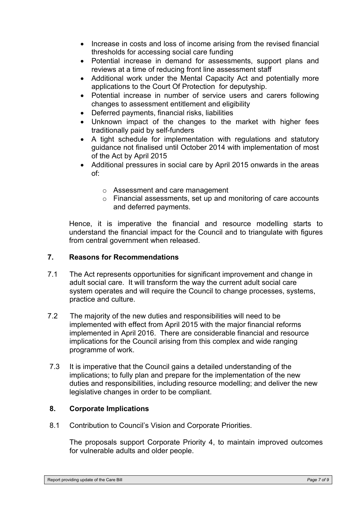- Increase in costs and loss of income arising from the revised financial thresholds for accessing social care funding
- Potential increase in demand for assessments, support plans and reviews at a time of reducing front line assessment staff
- Additional work under the Mental Capacity Act and potentially more applications to the Court Of Protection for deputyship.
- Potential increase in number of service users and carers following changes to assessment entitlement and eligibility
- Deferred payments, financial risks, liabilities
- Unknown impact of the changes to the market with higher fees traditionally paid by self-funders
- A tight schedule for implementation with regulations and statutory guidance not finalised until October 2014 with implementation of most of the Act by April 2015
- Additional pressures in social care by April 2015 onwards in the areas of:
	- o Assessment and care management
	- o Financial assessments, set up and monitoring of care accounts and deferred payments.

 Hence, it is imperative the financial and resource modelling starts to understand the financial impact for the Council and to triangulate with figures from central government when released.

#### **7. Reasons for Recommendations**

- 7.1 The Act represents opportunities for significant improvement and change in adult social care. It will transform the way the current adult social care system operates and will require the Council to change processes, systems, practice and culture.
- 7.2 The majority of the new duties and responsibilities will need to be implemented with effect from April 2015 with the major financial reforms implemented in April 2016. There are considerable financial and resource implications for the Council arising from this complex and wide ranging programme of work.
- 7.3 It is imperative that the Council gains a detailed understanding of the implications; to fully plan and prepare for the implementation of the new duties and responsibilities, including resource modelling; and deliver the new legislative changes in order to be compliant.

# **8. Corporate Implications**

8.1 Contribution to Council's Vision and Corporate Priorities.

The proposals support Corporate Priority 4, to maintain improved outcomes for vulnerable adults and older people.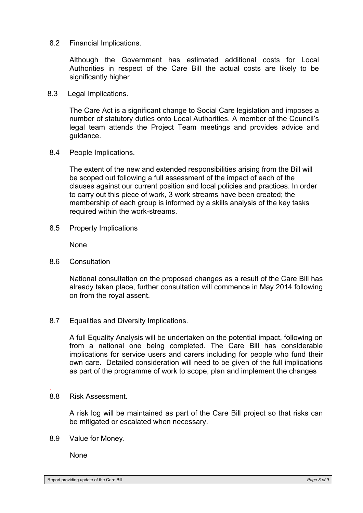8.2 Financial Implications.

Although the Government has estimated additional costs for Local Authorities in respect of the Care Bill the actual costs are likely to be significantly higher

8.3 Legal Implications.

The Care Act is a significant change to Social Care legislation and imposes a number of statutory duties onto Local Authorities. A member of the Council's legal team attends the Project Team meetings and provides advice and guidance.

8.4 People Implications.

The extent of the new and extended responsibilities arising from the Bill will be scoped out following a full assessment of the impact of each of the clauses against our current position and local policies and practices. In order to carry out this piece of work, 3 work streams have been created; the membership of each group is informed by a skills analysis of the key tasks required within the work-streams.

8.5 Property Implications

**None** 

8.6 Consultation

National consultation on the proposed changes as a result of the Care Bill has already taken place, further consultation will commence in May 2014 following on from the royal assent.

8.7 Equalities and Diversity Implications.

A full Equality Analysis will be undertaken on the potential impact, following on from a national one being completed. The Care Bill has considerable implications for service users and carers including for people who fund their own care. Detailed consideration will need to be given of the full implications as part of the programme of work to scope, plan and implement the changes

8.8 Risk Assessment.

.

A risk log will be maintained as part of the Care Bill project so that risks can be mitigated or escalated when necessary.

8.9 Value for Money.

**None**